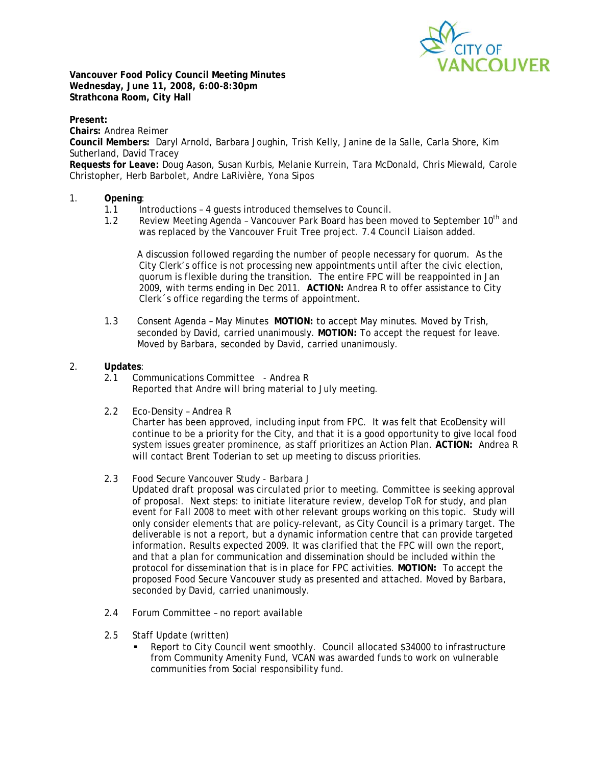

**Vancouver Food Policy Council Meeting Minutes Wednesday, June 11, 2008, 6:00-8:30pm Strathcona Room, City Hall** 

**Present: Chairs:** Andrea Reimer **Council Members:** Daryl Arnold, Barbara Joughin, Trish Kelly, Janine de la Salle, Carla Shore, Kim Sutherland, David Tracey **Requests for Leave:** Doug Aason, Susan Kurbis, Melanie Kurrein, Tara McDonald, Chris Miewald, Carole Christopher, Herb Barbolet, Andre LaRivière, Yona Sipos

## 1. **Opening**:

- 1.1 Introductions 4 guests introduced themselves to Council.
- 1.2 Review Meeting Agenda Vancouver Park Board has been moved to September 10<sup>th</sup> and was replaced by the Vancouver Fruit Tree project. 7.4 Council Liaison added.

A discussion followed regarding the number of people necessary for quorum. As the City Clerk's office is not processing new appointments until after the civic election, quorum is flexible during the transition. The entire FPC will be reappointed in Jan 2009, with terms ending in Dec 2011. **ACTION:** Andrea R to offer assistance to City Clerk´s office regarding the terms of appointment.

1.3 Consent Agenda – May Minutes **MOTION:** to accept May minutes. Moved by Trish, seconded by David, carried unanimously. **MOTION:** To accept the request for leave. Moved by Barbara, seconded by David, carried unanimously.

#### 2. **Updates**:

- 2.1 Communications Committee Andrea R Reported that Andre will bring material to July meeting.
- 2.2 Eco-Density Andrea R

Charter has been approved, including input from FPC. It was felt that EcoDensity will continue to be a priority for the City, and that it is a good opportunity to give local food system issues greater prominence, as staff prioritizes an Action Plan. **ACTION:** Andrea R will contact Brent Toderian to set up meeting to discuss priorities.

#### 2.3 Food Secure Vancouver Study - Barbara J

*Updated draft proposal was circulated prior to meeting.* Committee is seeking approval of proposal. Next steps: to initiate literature review, develop ToR for study, and plan event for Fall 2008 to meet with other relevant groups working on this topic. Study will only consider elements that are policy-relevant, as City Council is a primary target. The deliverable is not a report, but a dynamic information centre that can provide targeted information. Results expected 2009. It was clarified that the FPC will own the report, and that a plan for communication and dissemination should be included within the protocol for dissemination that is in place for FPC activities. **MOTION:** To accept the proposed Food Secure Vancouver study as presented and attached. Moved by Barbara, seconded by David, carried unanimously.

- 2.4 Forum Committee no report available
- 2.5 Staff Update (written)
	- Report to City Council went smoothly. Council allocated \$34000 to infrastructure from Community Amenity Fund, VCAN was awarded funds to work on vulnerable communities from Social responsibility fund.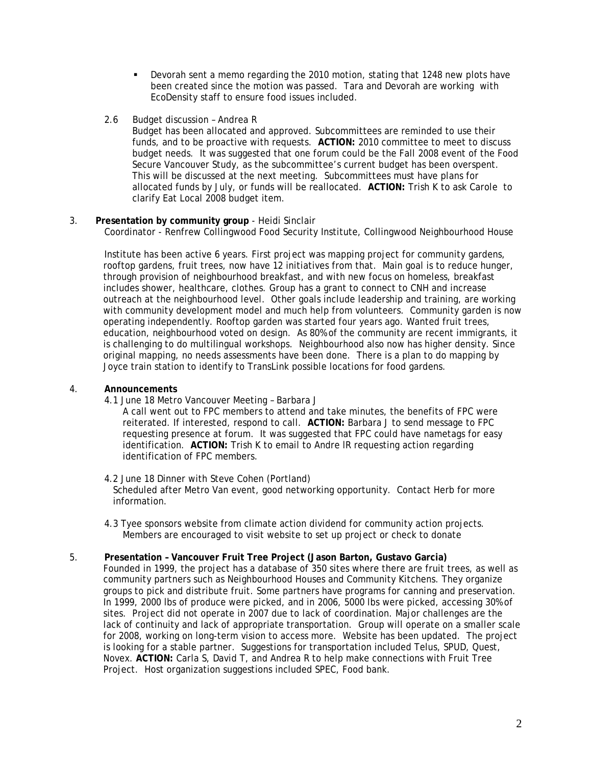- Devorah sent a memo regarding the 2010 motion, stating that 1248 new plots have been created since the motion was passed. Tara and Devorah are working with EcoDensity staff to ensure food issues included.
- 2.6 Budget discussion Andrea R

 Budget has been allocated and approved. Subcommittees are reminded to use their funds, and to be proactive with requests. **ACTION:** 2010 committee to meet to discuss budget needs. It was suggested that one forum could be the Fall 2008 event of the Food Secure Vancouver Study, as the subcommittee's current budget has been overspent. This will be discussed at the next meeting. Subcommittees must have plans for allocated funds by July, or funds will be reallocated. **ACTION:** Trish K to ask Carole to clarify Eat Local 2008 budget item.

## 3. **Presentation by community group** - Heidi Sinclair

Coordinator - Renfrew Collingwood Food Security Institute, Collingwood Neighbourhood House

 Institute has been active 6 years. First project was mapping project for community gardens, rooftop gardens, fruit trees, now have 12 initiatives from that. Main goal is to reduce hunger, through provision of neighbourhood breakfast, and with new focus on homeless, breakfast includes shower, healthcare, clothes. Group has a grant to connect to CNH and increase outreach at the neighbourhood level. Other goals include leadership and training, are working with community development model and much help from volunteers. Community garden is now operating independently. Rooftop garden was started four years ago. Wanted fruit trees, education, neighbourhood voted on design. As 80% of the community are recent immigrants, it is challenging to do multilingual workshops. Neighbourhood also now has higher density. Since original mapping, no needs assessments have been done. There is a plan to do mapping by Joyce train station to identify to TransLink possible locations for food gardens.

#### 4. **Announcements**

4.1 June 18 Metro Vancouver Meeting – Barbara J

A call went out to FPC members to attend and take minutes, the benefits of FPC were reiterated. If interested, respond to call. **ACTION:** Barbara J to send message to FPC requesting presence at forum. It was suggested that FPC could have nametags for easy identification. **ACTION:** Trish K to email to Andre lR requesting action regarding identification of FPC members.

- 4.2 June 18 Dinner with Steve Cohen (Portland) Scheduled after Metro Van event, good networking opportunity. Contact Herb for more information.
- 4.3 Tyee sponsors website from climate action dividend for community action projects. Members are encouraged to visit website to set up project or check to donate

# 5. **Presentation – Vancouver Fruit Tree Project (Jason Barton, Gustavo Garcia)**

Founded in 1999, the project has a database of 350 sites where there are fruit trees, as well as community partners such as Neighbourhood Houses and Community Kitchens. They organize groups to pick and distribute fruit. Some partners have programs for canning and preservation. In 1999, 2000 lbs of produce were picked, and in 2006, 5000 lbs were picked, accessing 30% of sites. Project did not operate in 2007 due to lack of coordination. Major challenges are the lack of continuity and lack of appropriate transportation. Group will operate on a smaller scale for 2008, working on long-term vision to access more. Website has been updated. The project is looking for a stable partner. Suggestions for transportation included Telus, SPUD, Quest, Novex. **ACTION:** Carla S, David T, and Andrea R to help make connections with Fruit Tree Project. Host organization suggestions included SPEC, Food bank.